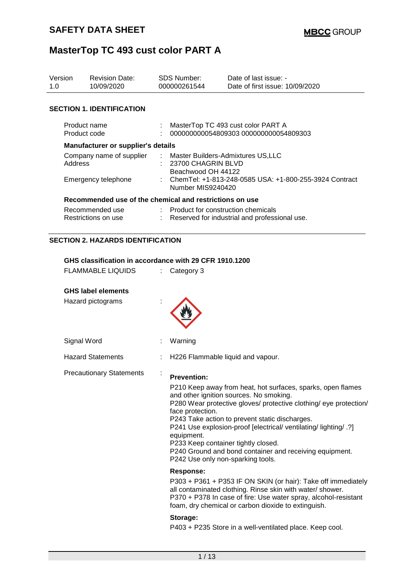| Version<br>1.0 | <b>Revision Date:</b><br>10/09/2020                                                                                            |   | <b>SDS Number:</b><br>000000261544       | Date of last issue: -<br>Date of first issue: 10/09/2020                                                                                                                                                                                        |
|----------------|--------------------------------------------------------------------------------------------------------------------------------|---|------------------------------------------|-------------------------------------------------------------------------------------------------------------------------------------------------------------------------------------------------------------------------------------------------|
|                | <b>SECTION 1. IDENTIFICATION</b>                                                                                               |   |                                          |                                                                                                                                                                                                                                                 |
|                | Product name<br>Product code                                                                                                   |   |                                          | MasterTop TC 493 cust color PART A<br>000000000054809303 000000000054809303                                                                                                                                                                     |
|                | Manufacturer or supplier's details                                                                                             |   |                                          |                                                                                                                                                                                                                                                 |
| <b>Address</b> | Company name of supplier                                                                                                       |   | 23700 CHAGRIN BLVD<br>Beachwood OH 44122 | Master Builders-Admixtures US,LLC                                                                                                                                                                                                               |
|                | Emergency telephone                                                                                                            |   | Number MIS9240420                        | ChemTel: +1-813-248-0585 USA: +1-800-255-3924 Contract                                                                                                                                                                                          |
|                | Recommended use of the chemical and restrictions on use                                                                        |   |                                          |                                                                                                                                                                                                                                                 |
|                | Recommended use<br>Restrictions on use                                                                                         |   |                                          | Product for construction chemicals<br>Reserved for industrial and professional use.                                                                                                                                                             |
|                | <b>SECTION 2. HAZARDS IDENTIFICATION</b><br>GHS classification in accordance with 29 CFR 1910.1200<br><b>FLAMMABLE LIQUIDS</b> | ÷ | Category 3                               |                                                                                                                                                                                                                                                 |
|                | <b>GHS label elements</b>                                                                                                      |   |                                          |                                                                                                                                                                                                                                                 |
|                | Hazard pictograms                                                                                                              |   |                                          |                                                                                                                                                                                                                                                 |
|                | Signal Word                                                                                                                    |   | Warning                                  |                                                                                                                                                                                                                                                 |
|                | <b>Hazard Statements</b>                                                                                                       |   |                                          | H226 Flammable liquid and vapour.                                                                                                                                                                                                               |
|                | <b>Precautionary Statements</b>                                                                                                | ÷ | <b>Prevention:</b><br>face protection.   | P210 Keep away from heat, hot surfaces, sparks, open flames<br>and other ignition sources. No smoking.<br>P280 Wear protective gloves/ protective clothing/ eye protection/<br>P243 Take action to prevent static discharges.<br>11.11.11.11.01 |

P241 Use explosion-proof [electrical/ ventilating/ lighting/ .?] equipment. P233 Keep container tightly closed.

P240 Ground and bond container and receiving equipment. P242 Use only non-sparking tools.

#### **Response:**

P303 + P361 + P353 IF ON SKIN (or hair): Take off immediately all contaminated clothing. Rinse skin with water/ shower. P370 + P378 In case of fire: Use water spray, alcohol-resistant foam, dry chemical or carbon dioxide to extinguish.

#### **Storage:**

P403 + P235 Store in a well-ventilated place. Keep cool.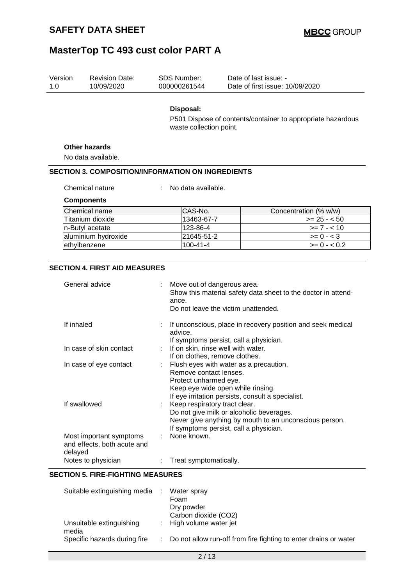| Version<br>1.0 | <b>Revision Date:</b><br>10/09/2020                      |    | <b>SDS Number:</b><br>000000261544                                   | Date of last issue: -<br>Date of first issue: 10/09/2020                                                                                     |
|----------------|----------------------------------------------------------|----|----------------------------------------------------------------------|----------------------------------------------------------------------------------------------------------------------------------------------|
|                |                                                          |    | Disposal:<br>waste collection point.                                 | P501 Dispose of contents/container to appropriate hazardous                                                                                  |
|                | Other hazards<br>No data available.                      |    |                                                                      |                                                                                                                                              |
|                | <b>SECTION 3. COMPOSITION/INFORMATION ON INGREDIENTS</b> |    |                                                                      |                                                                                                                                              |
|                | Chemical nature<br><b>Components</b>                     | ÷. | No data available.                                                   |                                                                                                                                              |
|                | Chemical name                                            |    | CAS-No.                                                              | Concentration (% w/w)                                                                                                                        |
|                | Titanium dioxide                                         |    | 13463-67-7                                                           | $>= 25 - 50$                                                                                                                                 |
|                | n-Butyl acetate                                          |    | 123-86-4                                                             | $>= 7 - 10$                                                                                                                                  |
|                | aluminium hydroxide                                      |    | 21645-51-2                                                           | $>= 0 - 3$                                                                                                                                   |
|                | ethylbenzene                                             |    | $100 - 41 - 4$                                                       | $>= 0 - 0.2$                                                                                                                                 |
|                | <b>SECTION 4. FIRST AID MEASURES</b><br>General advice   |    | Move out of dangerous area.<br>ance.                                 | Show this material safety data sheet to the doctor in attend-<br>Do not leave the victim unattended.                                         |
| If inhaled     |                                                          |    | advice.                                                              | If unconscious, place in recovery position and seek medical<br>If symptoms persist, call a physician.                                        |
|                | In case of skin contact                                  |    | If on skin, rinse well with water.<br>If on clothes, remove clothes. |                                                                                                                                              |
|                | In case of eye contact                                   |    | Remove contact lenses.<br>Protect unharmed eye.                      | Flush eyes with water as a precaution.<br>Keep eye wide open while rinsing.<br>If eye irritation persists, consult a specialist.             |
|                | If swallowed                                             |    | Keep respiratory tract clear.                                        | Do not give milk or alcoholic beverages.<br>Never give anything by mouth to an unconscious person.<br>If symptoms persist, call a physician. |
|                | Most important symptoms<br>and effects, both acute and   |    | None known.                                                          |                                                                                                                                              |

| delayed            |                        |
|--------------------|------------------------|
| Notes to physician | Treat symptomatically. |

## **SECTION 5. FIRE-FIGHTING MEASURES**

| Suitable extinguishing media      | Water spray                                                        |
|-----------------------------------|--------------------------------------------------------------------|
|                                   | Foam                                                               |
|                                   | Dry powder                                                         |
|                                   | Carbon dioxide (CO2)                                               |
| Unsuitable extinguishing<br>media | : High volume water jet                                            |
| Specific hazards during fire      | : Do not allow run-off from fire fighting to enter drains or water |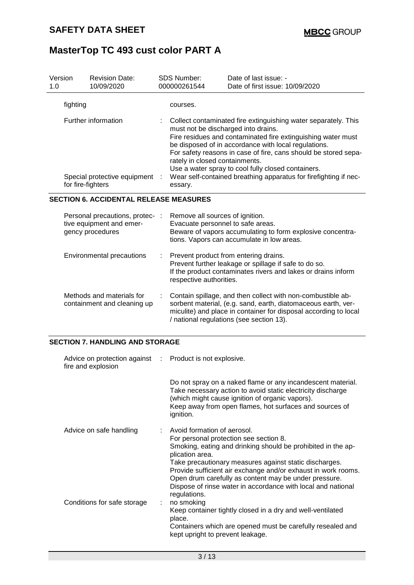| Version<br>1.0 | <b>Revision Date:</b><br>10/09/2020                                             |      | <b>SDS Number:</b><br>000000261544                                               | Date of last issue: -<br>Date of first issue: 10/09/2020                                                                                                                                                                                                                                                                                                                            |
|----------------|---------------------------------------------------------------------------------|------|----------------------------------------------------------------------------------|-------------------------------------------------------------------------------------------------------------------------------------------------------------------------------------------------------------------------------------------------------------------------------------------------------------------------------------------------------------------------------------|
| fighting       |                                                                                 |      | courses.                                                                         |                                                                                                                                                                                                                                                                                                                                                                                     |
|                | Further information<br>Special protective equipment<br>for fire-fighters        | - 11 | must not be discharged into drains.<br>rately in closed containments.<br>essary. | Collect contaminated fire extinguishing water separately. This<br>Fire residues and contaminated fire extinguishing water must<br>be disposed of in accordance with local regulations.<br>For safety reasons in case of fire, cans should be stored sepa-<br>Use a water spray to cool fully closed containers.<br>Wear self-contained breathing apparatus for firefighting if nec- |
|                | <b>SECTION 6. ACCIDENTAL RELEASE MEASURES</b>                                   |      |                                                                                  |                                                                                                                                                                                                                                                                                                                                                                                     |
|                | Personal precautions, protec- :<br>tive equipment and emer-<br>gency procedures |      | Remove all sources of ignition.<br>Evacuate personnel to safe areas.             | Beware of vapors accumulating to form explosive concentra-<br>tions. Vapors can accumulate in low areas.                                                                                                                                                                                                                                                                            |
|                | Environmental precautions                                                       |      | respective authorities.                                                          | Prevent product from entering drains.<br>Prevent further leakage or spillage if safe to do so.<br>If the product contaminates rivers and lakes or drains inform                                                                                                                                                                                                                     |
|                | Methods and materials for<br>containment and cleaning up                        |      |                                                                                  | Contain spillage, and then collect with non-combustible ab-<br>sorbent material, (e.g. sand, earth, diatomaceous earth, ver-<br>miculite) and place in container for disposal according to local<br>/ national regulations (see section 13).                                                                                                                                        |
|                | <b>SECTION 7. HANDLING AND STORAGE</b>                                          |      |                                                                                  |                                                                                                                                                                                                                                                                                                                                                                                     |
|                | Advice on protection against<br>fire and explosion                              |      | Product is not explosive.                                                        |                                                                                                                                                                                                                                                                                                                                                                                     |
|                |                                                                                 |      | ignition.                                                                        | Do not spray on a naked flame or any incandescent material.<br>Take necessary action to avoid static electricity discharge<br>(which might cause ignition of organic vapors).<br>Keep away from open flames, hot surfaces and sources of                                                                                                                                            |
|                | Advice on safe handling                                                         |      | Avoid formation of aerosol.<br>plication area.<br>regulations.                   | For personal protection see section 8.<br>Smoking, eating and drinking should be prohibited in the ap-<br>Take precautionary measures against static discharges.<br>Provide sufficient air exchange and/or exhaust in work rooms.<br>Open drum carefully as content may be under pressure.<br>Dispose of rinse water in accordance with local and national                          |
|                | Conditions for safe storage                                                     |      | no smoking<br>place.<br>kept upright to prevent leakage.                         | Keep container tightly closed in a dry and well-ventilated<br>Containers which are opened must be carefully resealed and                                                                                                                                                                                                                                                            |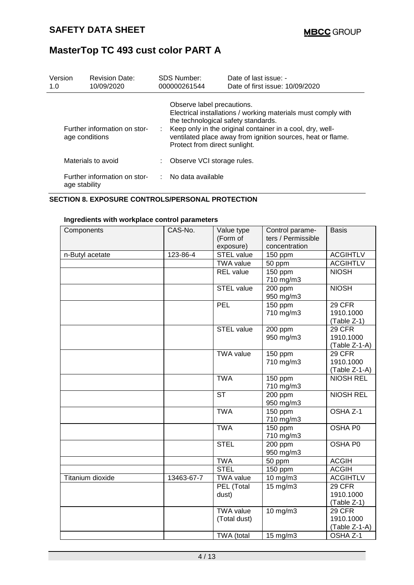| Version<br>1.0 | <b>Revision Date:</b><br>10/09/2020            |    | SDS Number:<br>000000261544                                                                        | Date of last issue: -<br>Date of first issue: 10/09/2020                                                                                                                                  |
|----------------|------------------------------------------------|----|----------------------------------------------------------------------------------------------------|-------------------------------------------------------------------------------------------------------------------------------------------------------------------------------------------|
|                | Further information on stor-<br>age conditions | ÷. | Observe label precautions.<br>the technological safety standards.<br>Protect from direct sunlight. | Electrical installations / working materials must comply with<br>Keep only in the original container in a cool, dry, well-<br>ventilated place away from ignition sources, heat or flame. |
|                | Materials to avoid                             |    | Observe VCI storage rules.                                                                         |                                                                                                                                                                                           |
|                | Further information on stor-<br>age stability  |    | : No data available                                                                                |                                                                                                                                                                                           |

### **SECTION 8. EXPOSURE CONTROLS/PERSONAL PROTECTION**

| Components       | CAS-No.    | Value type<br>(Form of<br>exposure) | Control parame-<br>ters / Permissible<br>concentration | <b>Basis</b>                              |
|------------------|------------|-------------------------------------|--------------------------------------------------------|-------------------------------------------|
| n-Butyl acetate  | 123-86-4   | <b>STEL value</b>                   | 150 ppm                                                | <b>ACGIHTLV</b>                           |
|                  |            | <b>TWA value</b>                    | 50 ppm                                                 | <b>ACGIHTLV</b>                           |
|                  |            | <b>REL</b> value                    | 150 ppm                                                | <b>NIOSH</b>                              |
|                  |            |                                     | 710 mg/m3                                              |                                           |
|                  |            | <b>STEL value</b>                   | 200 ppm<br>950 mg/m3                                   | <b>NIOSH</b>                              |
|                  |            | PEL                                 | 150 ppm<br>710 mg/m3                                   | <b>29 CFR</b><br>1910.1000<br>(Table Z-1) |
|                  |            | <b>STEL value</b>                   | 200 ppm<br>950 mg/m3                                   | 29 CFR<br>1910.1000<br>(Table Z-1-A)      |
|                  |            | <b>TWA value</b>                    | 150 ppm<br>710 mg/m3                                   | 29 CFR<br>1910.1000<br>(Table Z-1-A)      |
|                  |            | <b>TWA</b>                          | 150 ppm<br>710 mg/m3                                   | <b>NIOSH REL</b>                          |
|                  |            | $\overline{\text{ST}}$              | 200 ppm<br>950 mg/m3                                   | <b>NIOSH REL</b>                          |
|                  |            | <b>TWA</b>                          | 150 ppm<br>710 mg/m3                                   | OSHA Z-1                                  |
|                  |            | <b>TWA</b>                          | 150 ppm<br>710 mg/m3                                   | OSHA P0                                   |
|                  |            | <b>STEL</b>                         | 200 ppm<br>950 mg/m3                                   | OSHA P0                                   |
|                  |            | <b>TWA</b>                          | 50 ppm                                                 | <b>ACGIH</b>                              |
|                  |            | <b>STEL</b>                         | 150 ppm                                                | <b>ACGIH</b>                              |
| Titanium dioxide | 13463-67-7 | <b>TWA value</b>                    | 10 mg/m3                                               | <b>ACGIHTLV</b>                           |
|                  |            | PEL (Total                          | $15$ mg/m $3$                                          | <b>29 CFR</b>                             |
|                  |            | dust)                               |                                                        | 1910.1000                                 |
|                  |            |                                     |                                                        | (Table Z-1)                               |
|                  |            | <b>TWA value</b>                    | 10 mg/m3                                               | <b>29 CFR</b>                             |
|                  |            | (Total dust)                        |                                                        | 1910.1000                                 |
|                  |            |                                     |                                                        | $(Table Z-1-A)$                           |
|                  |            | TWA (total                          | $15 \text{ mg/m}$                                      | OSHA Z-1                                  |

### **Ingredients with workplace control parameters**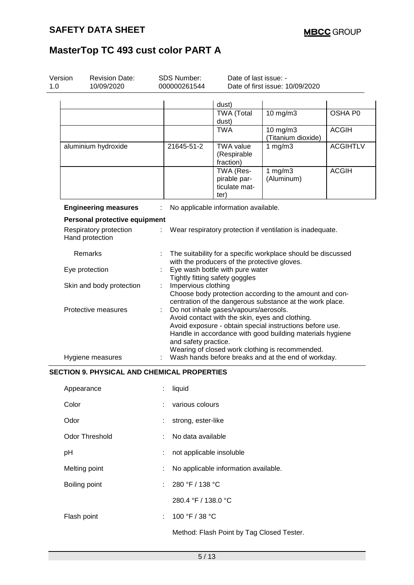| Version<br>1.0 | <b>Revision Date:</b><br>10/09/2020                                        | <b>SDS Number:</b><br>000000261544                                                                                                                                           | Date of last issue: -                                                                                                                           | Date of first issue: 10/09/2020                                                                                                                                                                                             |                                                            |  |
|----------------|----------------------------------------------------------------------------|------------------------------------------------------------------------------------------------------------------------------------------------------------------------------|-------------------------------------------------------------------------------------------------------------------------------------------------|-----------------------------------------------------------------------------------------------------------------------------------------------------------------------------------------------------------------------------|------------------------------------------------------------|--|
|                | aluminium hydroxide                                                        | 21645-51-2                                                                                                                                                                   | dust)<br><b>TWA (Total</b><br>dust)<br><b>TWA</b><br><b>TWA value</b><br>(Respirable<br>fraction)<br>TWA (Res-<br>pirable par-<br>ticulate mat- | 10 mg/m3<br>10 mg/m3<br>(Titanium dioxide)<br>1 $mg/m3$<br>1 $mg/m3$<br>(Aluminum)                                                                                                                                          | OSHA P0<br><b>ACGIH</b><br><b>ACGIHTLV</b><br><b>ACGIH</b> |  |
|                |                                                                            |                                                                                                                                                                              | ter)                                                                                                                                            |                                                                                                                                                                                                                             |                                                            |  |
|                | <b>Engineering measures</b>                                                |                                                                                                                                                                              | No applicable information available.                                                                                                            |                                                                                                                                                                                                                             |                                                            |  |
|                | Personal protective equipment<br>Respiratory protection<br>Hand protection |                                                                                                                                                                              |                                                                                                                                                 | Wear respiratory protection if ventilation is inadequate.                                                                                                                                                                   |                                                            |  |
|                | Remarks                                                                    |                                                                                                                                                                              | with the producers of the protective gloves.                                                                                                    | The suitability for a specific workplace should be discussed                                                                                                                                                                |                                                            |  |
|                | Eye protection                                                             |                                                                                                                                                                              | Eye wash bottle with pure water                                                                                                                 |                                                                                                                                                                                                                             |                                                            |  |
|                | Skin and body protection                                                   | Tightly fitting safety goggles<br>Impervious clothing<br>Choose body protection according to the amount and con-<br>centration of the dangerous substance at the work place. |                                                                                                                                                 |                                                                                                                                                                                                                             |                                                            |  |
|                | Protective measures                                                        | and safety practice.                                                                                                                                                         | Do not inhale gases/vapours/aerosols.                                                                                                           | Avoid contact with the skin, eyes and clothing.<br>Avoid exposure - obtain special instructions before use.<br>Handle in accordance with good building materials hygiene<br>Wearing of closed work clothing is recommended. |                                                            |  |
|                | Hygiene measures                                                           |                                                                                                                                                                              |                                                                                                                                                 | Wash hands before breaks and at the end of workday.                                                                                                                                                                         |                                                            |  |
|                | <b>SECTION 9. PHYSICAL AND CHEMICAL PROPERTIES</b>                         |                                                                                                                                                                              |                                                                                                                                                 |                                                                                                                                                                                                                             |                                                            |  |
|                | Appearance                                                                 | liquid                                                                                                                                                                       |                                                                                                                                                 |                                                                                                                                                                                                                             |                                                            |  |
| Color          |                                                                            | various colours                                                                                                                                                              |                                                                                                                                                 |                                                                                                                                                                                                                             |                                                            |  |
| Odor           |                                                                            | strong, ester-like                                                                                                                                                           |                                                                                                                                                 |                                                                                                                                                                                                                             |                                                            |  |
|                | <b>Odor Threshold</b>                                                      | No data available                                                                                                                                                            |                                                                                                                                                 |                                                                                                                                                                                                                             |                                                            |  |
| pH             |                                                                            | not applicable insoluble                                                                                                                                                     |                                                                                                                                                 |                                                                                                                                                                                                                             |                                                            |  |
|                | Melting point                                                              |                                                                                                                                                                              | No applicable information available.                                                                                                            |                                                                                                                                                                                                                             |                                                            |  |
|                | Boiling point                                                              | 280 °F / 138 °C                                                                                                                                                              |                                                                                                                                                 |                                                                                                                                                                                                                             |                                                            |  |
|                |                                                                            | 280.4 °F / 138.0 °C                                                                                                                                                          |                                                                                                                                                 |                                                                                                                                                                                                                             |                                                            |  |

Flash point : 100 °F / 38 °C

Method: Flash Point by Tag Closed Tester.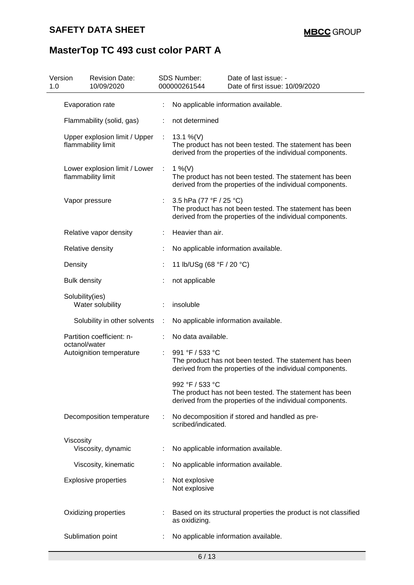| Version<br>1.0 | <b>Revision Date:</b><br>10/09/2020                 |    | <b>SDS Number:</b><br>000000261544 | Date of last issue: -<br>Date of first issue: 10/09/2020                                                             |
|----------------|-----------------------------------------------------|----|------------------------------------|----------------------------------------------------------------------------------------------------------------------|
|                | Evaporation rate                                    | ÷  |                                    | No applicable information available.                                                                                 |
|                | Flammability (solid, gas)                           |    | not determined                     |                                                                                                                      |
|                | Upper explosion limit / Upper<br>flammability limit | ÷  | 13.1 %(V)                          | The product has not been tested. The statement has been<br>derived from the properties of the individual components. |
|                | Lower explosion limit / Lower<br>flammability limit | ÷  | 1 %(V)                             | The product has not been tested. The statement has been<br>derived from the properties of the individual components. |
|                | Vapor pressure                                      | ÷. | 3.5 hPa (77 °F / 25 °C)            | The product has not been tested. The statement has been<br>derived from the properties of the individual components. |
|                | Relative vapor density                              |    | Heavier than air.                  |                                                                                                                      |
|                | Relative density                                    |    |                                    | No applicable information available.                                                                                 |
|                | Density                                             |    | 11 lb/USg (68 °F / 20 °C)          |                                                                                                                      |
|                | <b>Bulk density</b>                                 |    | not applicable                     |                                                                                                                      |
|                | Solubility(ies)<br>Water solubility                 |    | insoluble                          |                                                                                                                      |
|                | Solubility in other solvents                        | ÷  |                                    | No applicable information available.                                                                                 |
|                | Partition coefficient: n-<br>octanol/water          |    | No data available.                 |                                                                                                                      |
|                | Autoignition temperature                            |    | 991 °F / 533 °C                    | The product has not been tested. The statement has been<br>derived from the properties of the individual components. |
|                |                                                     |    | 992 °F / 533 °C                    | The product has not been tested. The statement has been<br>derived from the properties of the individual components. |
|                | Decomposition temperature                           |    | scribed/indicated.                 | No decomposition if stored and handled as pre-                                                                       |
|                | Viscosity<br>Viscosity, dynamic                     |    |                                    | No applicable information available.                                                                                 |
|                | Viscosity, kinematic                                |    |                                    | No applicable information available.                                                                                 |
|                | <b>Explosive properties</b>                         |    | Not explosive<br>Not explosive     |                                                                                                                      |
|                | Oxidizing properties                                |    | as oxidizing.                      | Based on its structural properties the product is not classified                                                     |
|                | Sublimation point                                   |    |                                    | No applicable information available.                                                                                 |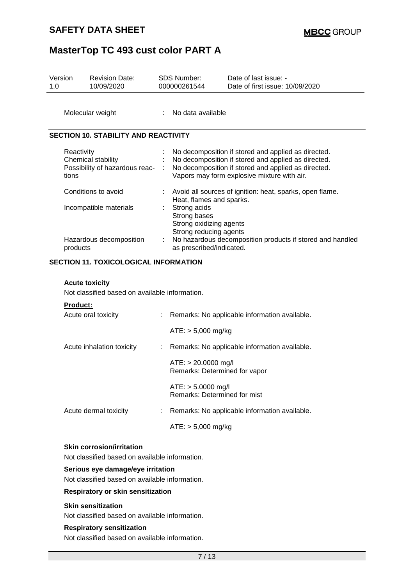| Version<br>1.0 | <b>Revision Date:</b><br>10/09/2020                                         |     | <b>SDS Number:</b><br>000000261544                                                | Date of last issue: -<br>Date of first issue: 10/09/2020                                                                                                                                                         |
|----------------|-----------------------------------------------------------------------------|-----|-----------------------------------------------------------------------------------|------------------------------------------------------------------------------------------------------------------------------------------------------------------------------------------------------------------|
|                | Molecular weight                                                            |     | $\therefore$ No data available                                                    |                                                                                                                                                                                                                  |
|                | <b>SECTION 10. STABILITY AND REACTIVITY</b>                                 |     |                                                                                   |                                                                                                                                                                                                                  |
|                | Reactivity<br>Chemical stability<br>Possibility of hazardous reac-<br>tions | -11 |                                                                                   | No decomposition if stored and applied as directed.<br>No decomposition if stored and applied as directed.<br>No decomposition if stored and applied as directed.<br>Vapors may form explosive mixture with air. |
|                | Conditions to avoid                                                         |     | Heat, flames and sparks.                                                          | Avoid all sources of ignition: heat, sparks, open flame.                                                                                                                                                         |
|                | Incompatible materials<br>Hazardous decomposition                           |     | Strong acids<br>Strong bases<br>Strong oxidizing agents<br>Strong reducing agents | No hazardous decomposition products if stored and handled                                                                                                                                                        |
|                | products                                                                    |     | as prescribed/indicated.                                                          |                                                                                                                                                                                                                  |
|                | <b>SECTION 11. TOXICOLOGICAL INFORMATION</b>                                |     |                                                                                   |                                                                                                                                                                                                                  |

### **Acute toxicity**

Not classified based on available information.

#### **Product:**

| Acute oral toxicity       | : Remarks: No applicable information available.        |
|---------------------------|--------------------------------------------------------|
|                           | $ATE: > 5,000 \text{ mg/kg}$                           |
| Acute inhalation toxicity | : Remarks: No applicable information available.        |
|                           | $ATE: > 20.0000$ mg/l<br>Remarks: Determined for vapor |
|                           | $ATE: > 5.0000$ mg/l<br>Remarks: Determined for mist   |
| Acute dermal toxicity     | Remarks: No applicable information available.          |
|                           | $ATE: > 5,000$ mg/kg                                   |

#### **Skin corrosion/irritation**

Not classified based on available information.

#### **Serious eye damage/eye irritation**

Not classified based on available information.

#### **Respiratory or skin sensitization**

### **Skin sensitization**

Not classified based on available information.

#### **Respiratory sensitization**

Not classified based on available information.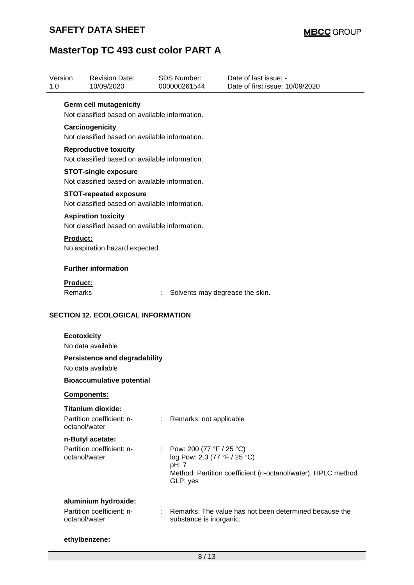|                 | <b>Revision Date:</b><br>10/09/2020                                             |    | <b>SDS Number:</b><br>000000261544                       | Date of last issue: -<br>Date of first issue: 10/09/2020      |
|-----------------|---------------------------------------------------------------------------------|----|----------------------------------------------------------|---------------------------------------------------------------|
|                 | <b>Germ cell mutagenicity</b>                                                   |    |                                                          |                                                               |
|                 | Not classified based on available information.                                  |    |                                                          |                                                               |
|                 | Carcinogenicity                                                                 |    |                                                          |                                                               |
|                 | Not classified based on available information.                                  |    |                                                          |                                                               |
|                 | <b>Reproductive toxicity</b><br>Not classified based on available information.  |    |                                                          |                                                               |
|                 | <b>STOT-single exposure</b><br>Not classified based on available information.   |    |                                                          |                                                               |
|                 | <b>STOT-repeated exposure</b><br>Not classified based on available information. |    |                                                          |                                                               |
|                 | <b>Aspiration toxicity</b>                                                      |    |                                                          |                                                               |
|                 | Not classified based on available information.                                  |    |                                                          |                                                               |
| <b>Product:</b> |                                                                                 |    |                                                          |                                                               |
|                 | No aspiration hazard expected.                                                  |    |                                                          |                                                               |
|                 | <b>Further information</b>                                                      |    |                                                          |                                                               |
| Product:        |                                                                                 |    |                                                          |                                                               |
| Remarks         |                                                                                 |    |                                                          | Solvents may degrease the skin.                               |
|                 | <b>Ecotoxicity</b><br>No data available                                         |    |                                                          |                                                               |
|                 | <b>Persistence and degradability</b>                                            |    |                                                          |                                                               |
|                 | No data available                                                               |    |                                                          |                                                               |
|                 | <b>Bioaccumulative potential</b>                                                |    |                                                          |                                                               |
|                 | Components:                                                                     |    |                                                          |                                                               |
|                 | Titanium dioxide:<br>Partition coefficient: n-<br>octanol/water                 |    | : Remarks: not applicable                                |                                                               |
|                 |                                                                                 |    |                                                          |                                                               |
|                 | n-Butyl acetate:<br>Partition coefficient: n-<br>octanol/water                  | ÷. | Pow: 200 (77 °F / 25 °C)<br>log Pow: 2.3 (77 °F / 25 °C) |                                                               |
|                 |                                                                                 |    | pH: 7<br>GLP: yes                                        | Method: Partition coefficient (n-octanol/water), HPLC method. |
|                 | aluminium hydroxide:                                                            |    |                                                          |                                                               |
|                 | Partition coefficient: n-<br>octanol/water                                      | ÷. | substance is inorganic.                                  | Remarks: The value has not been determined because the        |
|                 | ethylbenzene:                                                                   |    |                                                          |                                                               |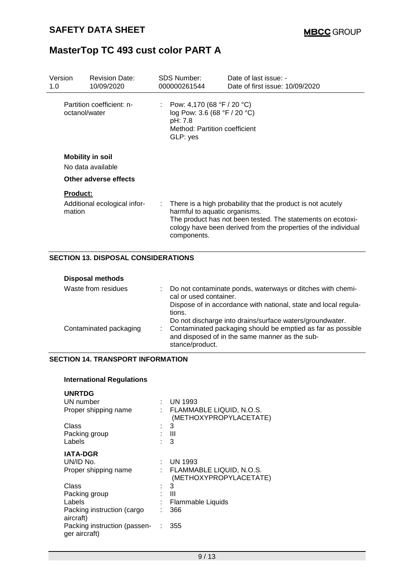| Version<br>1.0                                            | <b>Revision Date:</b><br>10/09/2020                                   |    | <b>SDS Number:</b><br>000000261544                                                                                 | Date of last issue: -<br>Date of first issue: 10/09/2020                                                                                                                                     |  |
|-----------------------------------------------------------|-----------------------------------------------------------------------|----|--------------------------------------------------------------------------------------------------------------------|----------------------------------------------------------------------------------------------------------------------------------------------------------------------------------------------|--|
|                                                           | Partition coefficient: n-<br>octanol/water                            |    | Pow: 4,170 (68 °F / 20 °C)<br>log Pow: 3.6 (68 °F / 20 °C)<br>pH: 7.8<br>Method: Partition coefficient<br>GLP: yes |                                                                                                                                                                                              |  |
|                                                           | <b>Mobility in soil</b><br>No data available<br>Other adverse effects |    |                                                                                                                    |                                                                                                                                                                                              |  |
| <b>Product:</b><br>Additional ecological infor-<br>mation |                                                                       | ÷. | harmful to aquatic organisms.<br>components.                                                                       | There is a high probability that the product is not acutely<br>The product has not been tested. The statements on ecotoxi-<br>cology have been derived from the properties of the individual |  |

## **SECTION 13. DISPOSAL CONSIDERATIONS**

| <b>Disposal methods</b> |                                                                                                                                       |
|-------------------------|---------------------------------------------------------------------------------------------------------------------------------------|
| Waste from residues     | : Do not contaminate ponds, waterways or ditches with chemi-<br>cal or used container.                                                |
|                         | Dispose of in accordance with national, state and local regula-<br>tions.<br>Do not discharge into drains/surface waters/groundwater. |
| Contaminated packaging  | : Contaminated packaging should be emptied as far as possible<br>and disposed of in the same manner as the sub-<br>stance/product.    |

### **SECTION 14. TRANSPORT INFORMATION**

### **International Regulations**

| <b>UNRTDG</b>                                 |                                                    |
|-----------------------------------------------|----------------------------------------------------|
| UN number                                     | UN 1993                                            |
| Proper shipping name                          | FLAMMABLE LIQUID, N.O.S.<br>(METHOXYPROPYLACETATE) |
| Class                                         | 3                                                  |
| Packing group                                 | Ш                                                  |
| Labels                                        | 3                                                  |
| <b>IATA-DGR</b>                               |                                                    |
| UN/ID No.                                     | UN 1993                                            |
| Proper shipping name                          | FLAMMABLE LIQUID, N.O.S.<br>(METHOXYPROPYLACETATE) |
| Class                                         | 3                                                  |
| Packing group                                 | Ш                                                  |
| Labels                                        | Flammable Liquids                                  |
| Packing instruction (cargo<br>aircraft)       | 366                                                |
| Packing instruction (passen-<br>ger aircraft) | 355                                                |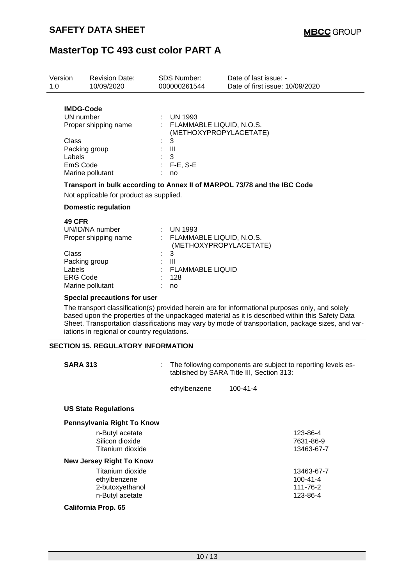| Version<br>1.0                          | <b>Revision Date:</b><br>10/09/2020                                                                    | <b>SDS Number:</b><br>000000261544                                                                                         | Date of last issue: -<br>Date of first issue: 10/09/2020                                                                                                                                                                                                                                                |
|-----------------------------------------|--------------------------------------------------------------------------------------------------------|----------------------------------------------------------------------------------------------------------------------------|---------------------------------------------------------------------------------------------------------------------------------------------------------------------------------------------------------------------------------------------------------------------------------------------------------|
| <b>Class</b><br>Labels                  | <b>IMDG-Code</b><br>UN number<br>Proper shipping name<br>Packing group<br>EmS Code<br>Marine pollutant | <b>UN 1993</b><br>: FLAMMABLE LIQUID, N.O.S.<br>(METHOXYPROPYLACETATE)<br>3<br>$\mathbf{III}$<br>3<br>$F-E$ , S-E<br>no    |                                                                                                                                                                                                                                                                                                         |
|                                         | Not applicable for product as supplied.                                                                |                                                                                                                            | Transport in bulk according to Annex II of MARPOL 73/78 and the IBC Code                                                                                                                                                                                                                                |
|                                         | <b>Domestic regulation</b>                                                                             |                                                                                                                            |                                                                                                                                                                                                                                                                                                         |
| <b>49 CFR</b><br><b>Class</b><br>Labels | UN/ID/NA number<br>Proper shipping name<br>Packing group<br><b>ERG Code</b>                            | : UN 1993<br>: FLAMMABLE LIQUID, N.O.S.<br>(METHOXYPROPYLACETATE)<br>3<br>$\mathbf{III}$<br><b>FLAMMABLE LIQUID</b><br>128 |                                                                                                                                                                                                                                                                                                         |
|                                         | Marine pollutant                                                                                       | no                                                                                                                         |                                                                                                                                                                                                                                                                                                         |
|                                         | <b>Special precautions for user</b><br>iations in regional or country regulations.                     |                                                                                                                            | The transport classification(s) provided herein are for informational purposes only, and solely<br>based upon the properties of the unpackaged material as it is described within this Safety Data<br>Sheet. Transportation classifications may vary by mode of transportation, package sizes, and var- |
|                                         | <b>SECTION 15. REGULATORY INFORMATION</b>                                                              |                                                                                                                            |                                                                                                                                                                                                                                                                                                         |
|                                         | <b>SARA 313</b>                                                                                        | ethylbenzene                                                                                                               | The following components are subject to reporting levels es-<br>tablished by SARA Title III, Section 313:<br>$100 - 41 - 4$                                                                                                                                                                             |
|                                         |                                                                                                        |                                                                                                                            |                                                                                                                                                                                                                                                                                                         |
|                                         | <b>US State Regulations</b>                                                                            |                                                                                                                            |                                                                                                                                                                                                                                                                                                         |
|                                         | Pennsylvania Right To Know                                                                             |                                                                                                                            |                                                                                                                                                                                                                                                                                                         |
|                                         | n-Butyl acetate<br>Silicon dioxide<br>Titanium dioxide                                                 |                                                                                                                            | 123-86-4<br>7631-86-9<br>13463-67-7                                                                                                                                                                                                                                                                     |
|                                         | <b>New Jersey Right To Know</b>                                                                        |                                                                                                                            |                                                                                                                                                                                                                                                                                                         |
|                                         | Titanium dioxide<br>ethylbenzene<br>2-butoxyethanol<br>n-Butyl acetate                                 |                                                                                                                            | 13463-67-7<br>$100 - 41 - 4$<br>111-76-2<br>123-86-4                                                                                                                                                                                                                                                    |
|                                         | California Prop. 65                                                                                    |                                                                                                                            |                                                                                                                                                                                                                                                                                                         |
|                                         |                                                                                                        |                                                                                                                            |                                                                                                                                                                                                                                                                                                         |
|                                         |                                                                                                        |                                                                                                                            |                                                                                                                                                                                                                                                                                                         |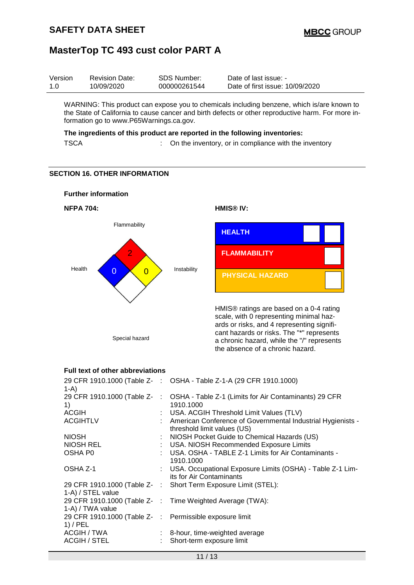| Version | <b>Revision Date:</b> | SDS Number:  | Date of last issue: -           |
|---------|-----------------------|--------------|---------------------------------|
| 1.0     | 10/09/2020            | 000000261544 | Date of first issue: 10/09/2020 |

WARNING: This product can expose you to chemicals including benzene, which is/are known to the State of California to cause cancer and birth defects or other reproductive harm. For more information go to www.P65Warnings.ca.gov.

#### **The ingredients of this product are reported in the following inventories:**

TSCA : On the inventory, or in compliance with the inventory

#### **SECTION 16. OTHER INFORMATION**



### **Full text of other abbreviations**

| 1-A)                                                    | 29 CFR 1910.1000 (Table Z- : OSHA - Table Z-1-A (29 CFR 1910.1000)                                                       |
|---------------------------------------------------------|--------------------------------------------------------------------------------------------------------------------------|
|                                                         | 29 CFR 1910.1000 (Table Z-: OSHA - Table Z-1 (Limits for Air Contaminants) 29 CFR                                        |
| 1)                                                      | 1910.1000                                                                                                                |
| <b>ACGIH</b>                                            | : USA. ACGIH Threshold Limit Values (TLV)                                                                                |
| <b>ACGIHTLV</b>                                         | : American Conference of Governmental Industrial Hygienists -                                                            |
| <b>NIOSH</b>                                            |                                                                                                                          |
| <b>NIOSH REL</b>                                        | threshold limit values (US)<br>: NIOSH Pocket Guide to Chemical Hazards (US)<br>: USA. NIOSH Recommended Exposure Limits |
| OSHA P0                                                 | : USA. OSHA - TABLE Z-1 Limits for Air Contaminants -                                                                    |
|                                                         | 1910.1000                                                                                                                |
| OSHA Z-1                                                | : USA. Occupational Exposure Limits (OSHA) - Table Z-1 Lim-                                                              |
|                                                         | its for Air Contaminants                                                                                                 |
|                                                         | 29 CFR 1910.1000 (Table Z- : Short Term Exposure Limit (STEL):                                                           |
| 1-A) / STEL value                                       |                                                                                                                          |
|                                                         | 29 CFR 1910.1000 (Table Z- : Time Weighted Average (TWA):                                                                |
| 1-A) / TWA value                                        |                                                                                                                          |
| 29 CFR 1910.1000 (Table Z- : Permissible exposure limit |                                                                                                                          |
| $1)$ / PEL                                              |                                                                                                                          |
| ACGIH / TWA                                             | $\therefore$ 8-hour, time-weighted average                                                                               |
| ACGIH / STEL                                            | : Short-term exposure limit                                                                                              |
|                                                         |                                                                                                                          |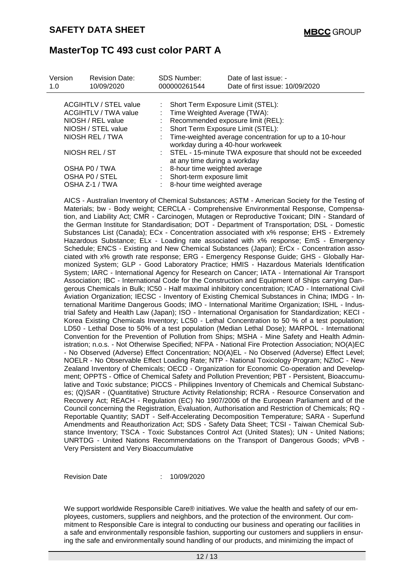| Version<br>1.0     | <b>Revision Date:</b><br>10/09/2020                  |    | <b>SDS Number:</b><br>000000261544                                                             | Date of last issue: -<br>Date of first issue: 10/09/2020 |  |  |  |
|--------------------|------------------------------------------------------|----|------------------------------------------------------------------------------------------------|----------------------------------------------------------|--|--|--|
|                    | <b>ACGIHTLV / STEL value</b><br>ACGIHTLV / TWA value | ÷. | Short Term Exposure Limit (STEL):<br>Time Weighted Average (TWA):                              |                                                          |  |  |  |
|                    | NIOSH / REL value                                    |    | Recommended exposure limit (REL):                                                              |                                                          |  |  |  |
| NIOSH / STEL value |                                                      |    | Short Term Exposure Limit (STEL):                                                              |                                                          |  |  |  |
| NIOSH REL / TWA    |                                                      |    | : Time-weighted average concentration for up to a 10-hour<br>workday during a 40-hour workweek |                                                          |  |  |  |
| NIOSH REL / ST     |                                                      |    | : STEL - 15-minute TWA exposure that should not be exceeded<br>at any time during a workday    |                                                          |  |  |  |
|                    | OSHA P0 / TWA                                        |    | 8-hour time weighted average                                                                   |                                                          |  |  |  |
|                    | OSHA P0 / STEL                                       |    | Short-term exposure limit                                                                      |                                                          |  |  |  |
|                    | OSHA Z-1 / TWA                                       |    | 8-hour time weighted average                                                                   |                                                          |  |  |  |

AICS - Australian Inventory of Chemical Substances; ASTM - American Society for the Testing of Materials; bw - Body weight; CERCLA - Comprehensive Environmental Response, Compensation, and Liability Act; CMR - Carcinogen, Mutagen or Reproductive Toxicant; DIN - Standard of the German Institute for Standardisation; DOT - Department of Transportation; DSL - Domestic Substances List (Canada); ECx - Concentration associated with x% response; EHS - Extremely Hazardous Substance; ELx - Loading rate associated with x% response; EmS - Emergency Schedule; ENCS - Existing and New Chemical Substances (Japan); ErCx - Concentration associated with x% growth rate response; ERG - Emergency Response Guide; GHS - Globally Harmonized System; GLP - Good Laboratory Practice; HMIS - Hazardous Materials Identification System; IARC - International Agency for Research on Cancer; IATA - International Air Transport Association; IBC - International Code for the Construction and Equipment of Ships carrying Dangerous Chemicals in Bulk; IC50 - Half maximal inhibitory concentration; ICAO - International Civil Aviation Organization; IECSC - Inventory of Existing Chemical Substances in China; IMDG - International Maritime Dangerous Goods; IMO - International Maritime Organization; ISHL - Industrial Safety and Health Law (Japan); ISO - International Organisation for Standardization; KECI - Korea Existing Chemicals Inventory; LC50 - Lethal Concentration to 50 % of a test population; LD50 - Lethal Dose to 50% of a test population (Median Lethal Dose); MARPOL - International Convention for the Prevention of Pollution from Ships; MSHA - Mine Safety and Health Administration; n.o.s. - Not Otherwise Specified; NFPA - National Fire Protection Association; NO(A)EC - No Observed (Adverse) Effect Concentration; NO(A)EL - No Observed (Adverse) Effect Level; NOELR - No Observable Effect Loading Rate; NTP - National Toxicology Program; NZIoC - New Zealand Inventory of Chemicals; OECD - Organization for Economic Co-operation and Development; OPPTS - Office of Chemical Safety and Pollution Prevention; PBT - Persistent, Bioaccumulative and Toxic substance; PICCS - Philippines Inventory of Chemicals and Chemical Substances; (Q)SAR - (Quantitative) Structure Activity Relationship; RCRA - Resource Conservation and Recovery Act; REACH - Regulation (EC) No 1907/2006 of the European Parliament and of the Council concerning the Registration, Evaluation, Authorisation and Restriction of Chemicals; RQ - Reportable Quantity; SADT - Self-Accelerating Decomposition Temperature; SARA - Superfund Amendments and Reauthorization Act; SDS - Safety Data Sheet; TCSI - Taiwan Chemical Substance Inventory; TSCA - Toxic Substances Control Act (United States); UN - United Nations; UNRTDG - United Nations Recommendations on the Transport of Dangerous Goods; vPvB - Very Persistent and Very Bioaccumulative

Revision Date : 10/09/2020

We support worldwide Responsible Care® initiatives. We value the health and safety of our employees, customers, suppliers and neighbors, and the protection of the environment. Our commitment to Responsible Care is integral to conducting our business and operating our facilities in a safe and environmentally responsible fashion, supporting our customers and suppliers in ensuring the safe and environmentally sound handling of our products, and minimizing the impact of